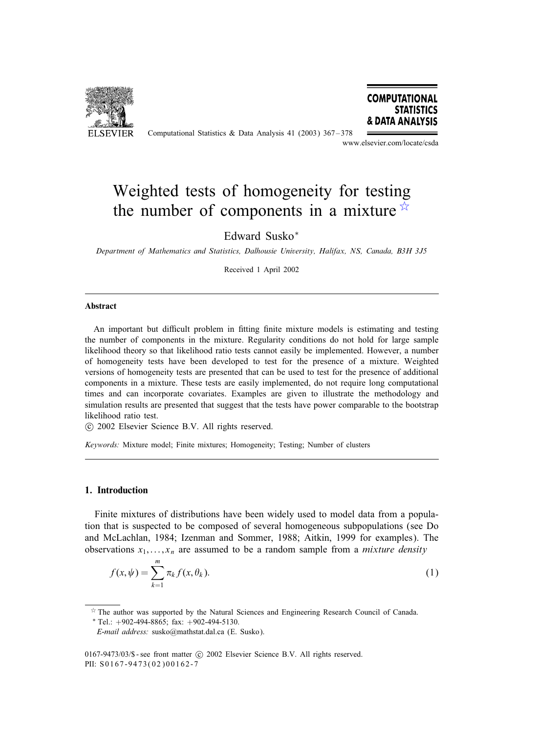

Computational Statistics & Data Analysis 41 (2003) 367 – 378



www.elsevier.com/locate/csda

# Weighted tests of homogeneity for testing the number of components in a mixture  $\overrightarrow{x}$

# Edward Susko<sup>∗</sup>

*Department of Mathematics and Statistics, Dalhousie University, Halifax, NS, Canada, B3H 3J5*

Received 1 April 2002

#### Abstract

An important but difficult problem in fitting finite mixture models is estimating and testing the number of components in the mixture. Regularity conditions do not hold for large sample likelihood theory so that likelihood ratio tests cannot easily be implemented. However, a number of homogeneity tests have been developed to test for the presence of a mixture. Weighted versions of homogeneity tests are presented that can be used to test for the presence of additional components in a mixture. These tests are easily implemented, do not require long computational times and can incorporate covariates. Examples are given to illustrate the methodology and simulation results are presented that suggest that the tests have power comparable to the bootstrap likelihood ratio test.

c 2002 Elsevier Science B.V. All rights reserved.

*Keywords:* Mixture model; Finite mixtures; Homogeneity; Testing; Number of clusters

#### 1. Introduction

Finite mixtures of distributions have been widely used to model data from a population that is suspected to be composed of several homogeneous subpopulations (see Do and McLachlan, 1984; Izenman and Sommer, 1988; Aitkin, 1999 for examples). The observations  $x_1, \ldots, x_n$  are assumed to be a random sample from a *mixture density* 

$$
f(x, \psi) = \sum_{k=1}^{m} \pi_k f(x, \theta_k).
$$
 (1)

0167-9473/03/\$ - see front matter  $\odot$  2002 Elsevier Science B.V. All rights reserved. PII: S0167-9473(02)00162-7

 $\overrightarrow{r}$  The author was supported by the Natural Sciences and Engineering Research Council of Canada.

 $*$  Tel.:  $+902-494-8865$ ; fax:  $+902-494-5130$ .

*E-mail address:* susko@mathstat.dal.ca (E. Susko).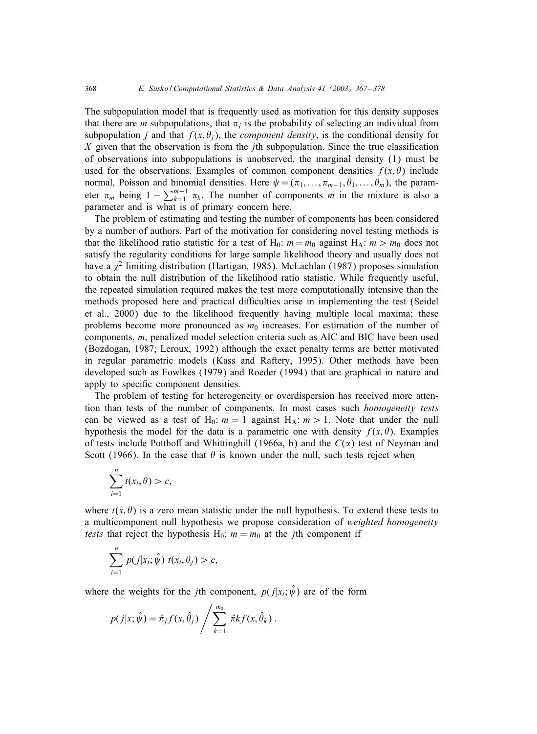The subpopulation model that is frequently used as motivation for this density supposes that there are *m* subpopulations, that  $\pi_i$  is the probability of selecting an individual from subpopulation *j* and that  $f(x, \theta_j)$ , the *component density*, is the conditional density for X given that the observation is from the *j*th subpopulation. Since the true classification of observations into subpopulations is unobserved, the marginal density (1) must be used for the observations. Examples of common component densities  $f(x, \theta)$  include normal, Poisson and binomial densities. Here  $\psi = (\pi_1, \dots, \pi_{m-1}, \theta_1, \dots, \theta_m)$ , the parameter  $\pi_m$  being  $1 - \sum_{k=1}^{m-1} \pi_k$ . The number of components m in the mixture is also a parameter and is what is of primary concern here.

The problem of estimating and testing the number of components has been considered by a number of authors. Part of the motivation for considering novel testing methods is that the likelihood ratio statistic for a test of H<sub>0</sub>:  $m = m_0$  against H<sub>A</sub>:  $m > m_0$  does not satisfy the regularity conditions for large sample likelihood theory and usually does not have a  $\chi^2$  limiting distribution (Hartigan, 1985). McLachlan (1987) proposes simulation to obtain the null distribution of the likelihood ratio statistic. While frequently useful, the repeated simulation required makes the test more computationally intensive than the methods proposed here and practical difficulties arise in implementing the test (Seidel et al., 2000) due to the likelihood frequently having multiple local maxima; these problems become more pronounced as  $m_0$  increases. For estimation of the number of components, m, penalized model selection criteria such as AIC and BIC have been used (Bozdogan, 1987; Leroux, 1992) although the exact penalty terms are better motivated in regular parametric models (Kass and Raftery, 1995). Other methods have been developed such as Fowlkes (1979) and Roeder (1994) that are graphical in nature and apply to specific component densities.

The problem of testing for heterogeneity or overdispersion has received more attention than tests of the number of components. In most cases such *homogeneity tests* can be viewed as a test of H<sub>0</sub>:  $m = 1$  against H<sub>A</sub>:  $m > 1$ . Note that under the null hypothesis the model for the data is a parametric one with density  $f(x, \theta)$ . Examples of tests include Potthoff and Whittinghill (1966a, b) and the  $C(\alpha)$  test of Neyman and Scott (1966). In the case that  $\theta$  is known under the null, such tests reject when

$$
\sum_{i=1}^n t(x_i, \theta) > c,
$$

where  $t(x, \theta)$  is a zero mean statistic under the null hypothesis. To extend these tests to a multicomponent null hypothesis we propose consideration of *weighted homogeneity tests* that reject the hypothesis  $H_0$ :  $m = m_0$  at the *j*th component if

$$
\sum_{i=1}^n p(j|x_i; \hat{\psi}) \ t(x_i, \theta_j) > c,
$$

where the weights for the *j*th component,  $p(j|x_i; \hat{\psi})$  are of the form

$$
p(j|x; \hat{\psi}) = \hat{\pi}_j f(x, \hat{\theta}_j) / \sum_{k=1}^{m_0} \hat{\pi} k f(x, \hat{\theta}_k).
$$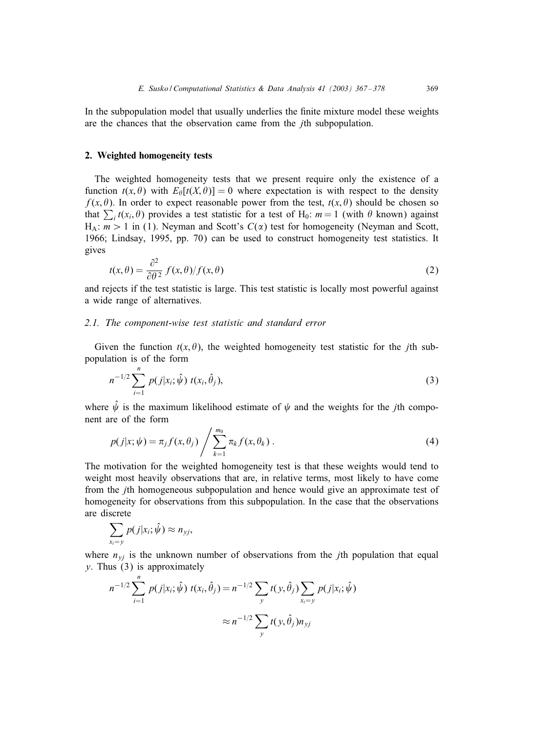In the subpopulation model that usually underlies the finite mixture model these weights are the chances that the observation came from the jth subpopulation.

## 2. Weighted homogeneity tests

The weighted homogeneity tests that we present require only the existence of a function  $t(x, \theta)$  with  $E_{\theta}[t(X, \theta)] = 0$  where expectation is with respect to the density  $f(x, \theta)$ . In order to expect reasonable power from the test,  $t(x, \theta)$  should be chosen so that  $\sum_i t(x_i, \theta)$  provides a test statistic for a test of H<sub>0</sub>:  $m = 1$  (with  $\theta$  known) against  $H_A: m > 1$  in (1). Neyman and Scott's  $C(\alpha)$  test for homogeneity (Neyman and Scott, 1966; Lindsay, 1995, pp. 70) can be used to construct homogeneity test statistics. It gives

$$
t(x,\theta) = \frac{\partial^2}{\partial \theta^2} f(x,\theta) / f(x,\theta)
$$
 (2)

and rejects if the test statistic is large. This test statistic is locally most powerful against a wide range of alternatives.

# *2.1. The component-wise test statistic and standard error*

Given the function  $t(x, \theta)$ , the weighted homogeneity test statistic for the *j*th subpopulation is of the form

$$
n^{-1/2} \sum_{i=1}^{n} p(j|x_i; \hat{\psi}) \ t(x_i, \hat{\theta}_j), \tag{3}
$$

where  $\hat{\psi}$  is the maximum likelihood estimate of  $\psi$  and the weights for the *j*th component are of the form

$$
p(j|x; \psi) = \pi_j f(x, \theta_j) / \sum_{k=1}^{m_0} \pi_k f(x, \theta_k).
$$
 (4)

The motivation for the weighted homogeneity test is that these weights would tend to weight most heavily observations that are, in relative terms, most likely to have come from the jth homogeneous subpopulation and hence would give an approximate test of homogeneity for observations from this subpopulation. In the case that the observations are discrete

$$
\sum_{x_i=y} p(j|x_i;\hat{\psi}) \approx n_{yj},
$$

where  $n_{yj}$  is the unknown number of observations from the *j*th population that equal  $y$ . Thus  $(3)$  is approximately

$$
n^{-1/2} \sum_{i=1}^{n} p(j|x_i; \hat{\psi}) \ t(x_i, \hat{\theta}_j) = n^{-1/2} \sum_{y} t(y, \hat{\theta}_j) \sum_{x_i = y} p(j|x_i; \hat{\psi})
$$

$$
\approx n^{-1/2} \sum_{y} t(y, \hat{\theta}_j) n_{yj}
$$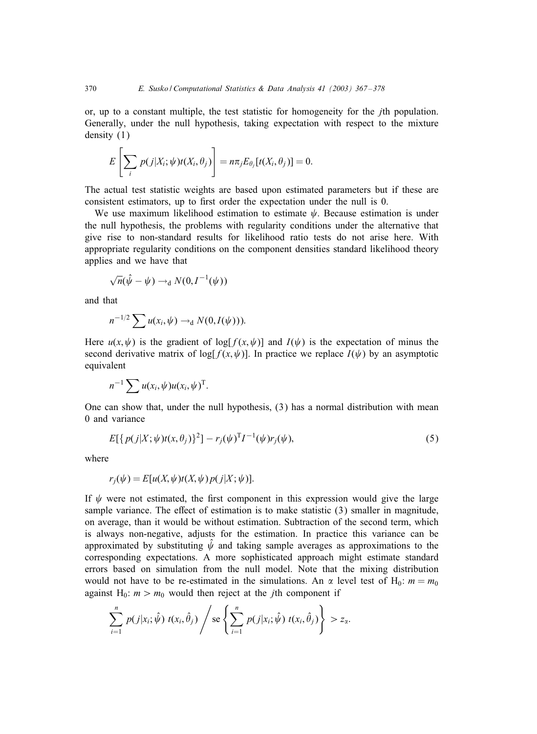or, up to a constant multiple, the test statistic for homogeneity for the jth population. Generally, under the null hypothesis, taking expectation with respect to the mixture density (1)

$$
E\left[\sum_i p(j|X_i;\psi)t(X_i,\theta_j)\right] = n\pi_j E_{\theta_j}[t(X_i,\theta_j)] = 0.
$$

The actual test statistic weights are based upon estimated parameters but if these are consistent estimators, up to first order the expectation under the null is 0.

We use maximum likelihood estimation to estimate  $\psi$ . Because estimation is under the null hypothesis, the problems with regularity conditions under the alternative that give rise to non-standard results for likelihood ratio tests do not arise here. With appropriate regularity conditions on the component densities standard likelihood theory applies and we have that

$$
\sqrt{n}(\hat{\psi} - \psi) \rightarrow_d N(0, I^{-1}(\psi))
$$

and that

$$
n^{-1/2}\sum u(x_i,\psi)\rightarrow_d N(0,I(\psi))).
$$

Here  $u(x, \psi)$  is the gradient of log[ $f(x, \psi)$ ] and  $I(\psi)$  is the expectation of minus the second derivative matrix of  $\log[f(x, \psi)]$ . In practice we replace  $I(\psi)$  by an asymptotic equivalent

$$
n^{-1}\sum u(x_i,\psi)u(x_i,\psi)^{\mathrm{T}}.
$$

One can show that, under the null hypothesis, (3) has a normal distribution with mean 0 and variance

$$
E[{p(j|X; \psi)t(x, \theta_j)}^2] - r_j(\psi)^T I^{-1}(\psi) r_j(\psi), \qquad (5)
$$

where

$$
r_j(\psi) = E[u(X, \psi)t(X, \psi)p(j|X; \psi)].
$$

If  $\psi$  were not estimated, the first component in this expression would give the large sample variance. The effect of estimation is to make statistic  $(3)$  smaller in magnitude, on average, than it would be without estimation. Subtraction of the second term, which is always non-negative, adjusts for the estimation. In practice this variance can be approximated by substituting  $\psi$  and taking sample averages as approximations to the corresponding expectations. A more sophisticated approach might estimate standard errors based on simulation from the null model. Note that the mixing distribution would not have to be re-estimated in the simulations. An  $\alpha$  level test of H<sub>0</sub>:  $m = m_0$ against H<sub>0</sub>:  $m > m_0$  would then reject at the *j*th component if

$$
\sum_{i=1}^n p(j|x_i; \hat{\psi}) t(x_i, \hat{\theta}_j) / \operatorname{se} \left\{ \sum_{i=1}^n p(j|x_i; \hat{\psi}) t(x_i, \hat{\theta}_j) \right\} > z_\alpha.
$$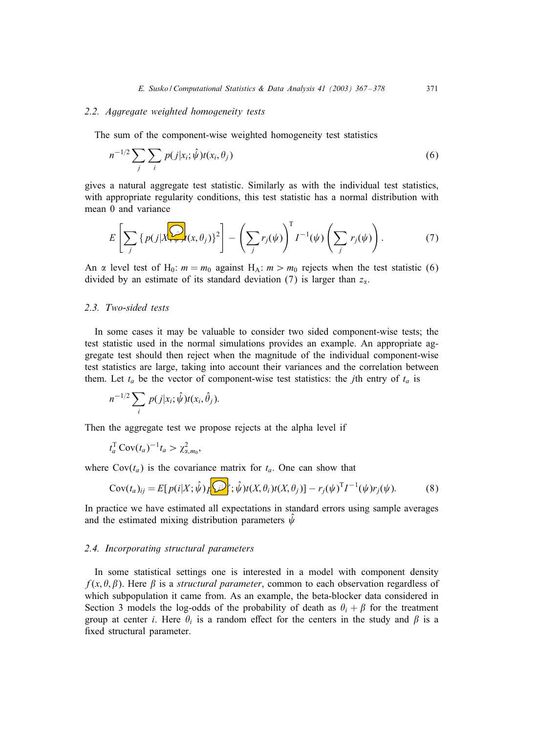## *2.2. Aggregate weighted homogeneity tests*

The sum of the component-wise weighted homogeneity test statistics

$$
n^{-1/2} \sum_{j} \sum_{i} p(j|x_i; \hat{\psi}) t(x_i, \theta_j)
$$
\n
$$
(6)
$$

gives a natural aggregate test statistic. Similarly as with the individual test statistics, with appropriate regularity conditions, this test statistic has a normal distribution with mean 0 and variance

$$
E\left[\sum_{j} \left\{ p(j|X_{\tau,\tau}^{(j)}(x,\theta_{j})\right\}^{2}\right] - \left(\sum_{j} r_{j}(\psi)\right)^{T} I^{-1}(\psi) \left(\sum_{j} r_{j}(\psi)\right). \tag{7}
$$

An  $\alpha$  level test of H<sub>0</sub>:  $m = m_0$  against H<sub>A</sub>:  $m > m_0$  rejects when the test statistic (6) divided by an estimate of its standard deviation (7) is larger than  $z_{\alpha}$ .

## *2.3. Two-sided tests*

In some cases it may be valuable to consider two sided component-wise tests; the test statistic used in the normal simulations provides an example. An appropriate aggregate test should then reject when the magnitude of the individual component-wise test statistics are large, taking into account their variances and the correlation between them. Let  $t_a$  be the vector of component-wise test statistics: the *j*th entry of  $t_a$  is

$$
n^{-1/2}\sum_i p(j|x_i;\hat{\psi})t(x_i,\hat{\theta}_j).
$$

Then the aggregate test we propose rejects at the alpha level if

$$
t_a^{\rm T} \operatorname{Cov}(t_a)^{-1} t_a > \chi^2_{\alpha, m_0},
$$

where  $Cov(t_a)$  is the covariance matrix for  $t_a$ . One can show that

$$
Cov(t_a)_{ij} = E[p(i|X; \hat{\psi})_I \widehat{\psi}](X, \theta_i) t(X, \theta_j)] - r_j(\psi)^T I^{-1}(\psi) r_j(\psi).
$$
 (8)

In practice we have estimated all expectations in standard errors using sample averages and the estimated mixing distribution parameters  $\hat{\psi}$ 

# *2.4. Incorporating structural parameters*

In some statistical settings one is interested in a model with component density  $f(x, \theta, \beta)$ . Here  $\beta$  is a *structural parameter*, common to each observation regardless of which subpopulation it came from. As an example, the beta-blocker data considered in Section 3 models the log-odds of the probability of death as  $\theta_i + \beta$  for the treatment group at center *i*. Here  $\theta_i$  is a random effect for the centers in the study and  $\beta$  is a fixed structural parameter.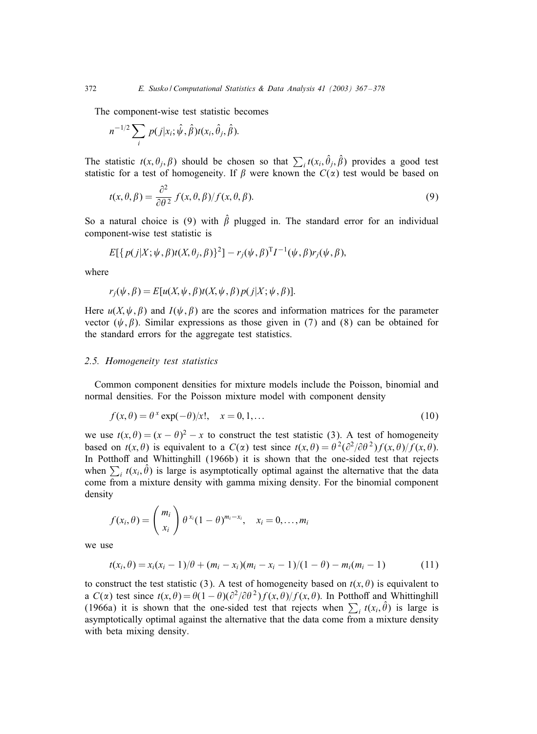The component-wise test statistic becomes

$$
n^{-1/2}\sum_i p(j|x_i;\hat{\psi},\hat{\beta})t(x_i,\hat{\theta}_j,\hat{\beta}).
$$

The statistic  $t(x, \theta_j, \beta)$  should be chosen so that  $\sum_i t(x_i, \hat{\theta}_j, \hat{\beta})$  provides a good test statistic for a test of homogeneity. If  $\beta$  were known the  $C(\alpha)$  test would be based on

$$
t(x,\theta,\beta) = \frac{\partial^2}{\partial \theta^2} f(x,\theta,\beta) / f(x,\theta,\beta).
$$
\n(9)

So a natural choice is (9) with  $\hat{\beta}$  plugged in. The standard error for an individual component-wise test statistic is

$$
E[\{p(j|X; \psi, \beta)t(X, \theta_j, \beta)\}^2] - r_j(\psi, \beta)^T I^{-1}(\psi, \beta)r_j(\psi, \beta),
$$

where

$$
r_j(\psi, \beta) = E[u(X, \psi, \beta)t(X, \psi, \beta)p(j|X; \psi, \beta)].
$$

Here  $u(X, \psi, \beta)$  and  $I(\psi, \beta)$  are the scores and information matrices for the parameter vector  $(\psi, \beta)$ . Similar expressions as those given in (7) and (8) can be obtained for the standard errors for the aggregate test statistics.

#### *2.5. Homogeneity test statistics*

Common component densities for mixture models include the Poisson, binomial and normal densities. For the Poisson mixture model with component density

$$
f(x,\theta) = \theta^x \exp(-\theta)/x!, \quad x = 0, 1, \dots
$$
 (10)

we use  $t(x, \theta) = (x - \theta)^2 - x$  to construct the test statistic (3). A test of homogeneity based on  $t(x, \theta)$  is equivalent to a  $C(\alpha)$  test since  $t(x, \theta) = \theta^2(\partial^2/\partial\theta^2)f(x, \theta)/f(x, \theta)$ . In Potthoff and Whittinghill (1966b) it is shown that the one-sided test that rejects when  $\sum_i t(x_i, \hat{\theta})$  is large is asymptotically optimal against the alternative that the data come from a mixture density with gamma mixing density. For the binomial component density

$$
f(x_i, \theta) = {m_i \choose x_i} \theta^{x_i} (1-\theta)^{m_i-x_i}, \quad x_i = 0, \ldots, m_i
$$

we use

$$
t(x_i, \theta) = x_i(x_i - 1)/\theta + (m_i - x_i)(m_i - x_i - 1)/(1 - \theta) - m_i(m_i - 1)
$$
 (11)

to construct the test statistic (3). A test of homogeneity based on  $t(x, \theta)$  is equivalent to a  $C(\alpha)$  test since  $t(x, \theta) = \theta(1 - \theta)(\partial^2/\partial \theta^2) f(x, \theta) / f(x, \theta)$ . In Potthoff and Whittinghill (1966a) it is shown that the one-sided test that rejects when  $\sum_i t(x_i, \hat{\theta})$  is large is asymptotically optimal against the alternative that the data come from a mixture density with beta mixing density.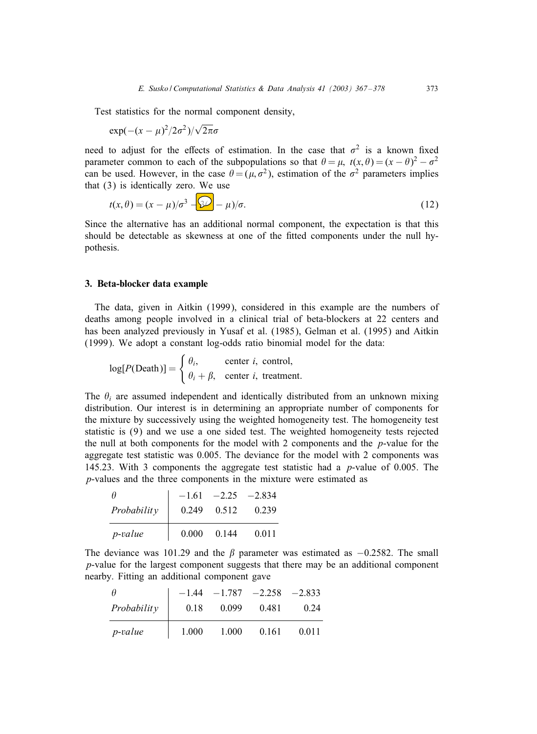Test statistics for the normal component density,

$$
\exp(-(x-\mu)^2/2\sigma^2)/\sqrt{2\pi}\sigma
$$

need to adjust for the effects of estimation. In the case that  $\sigma^2$  is a known fixed parameter common to each of the subpopulations so that  $\theta = \mu$ ,  $t(x, \theta) = (x - \theta)^2 - \sigma^2$ can be used. However, in the case  $\theta = (\mu, \sigma^2)$ , estimation of the  $\sigma^2$  parameters implies that (3) is identically zero. We use

$$
t(x,\theta) = (x - \mu)/\sigma^3 - \Omega - \mu)/\sigma.
$$
 (12)

Since the alternative has an additional normal component, the expectation is that this should be detectable as skewness at one of the fitted components under the null hypothesis.

#### 3. Beta-blocker data example

The data, given in Aitkin (1999), considered in this example are the numbers of deaths among people involved in a clinical trial of beta-blockers at 22 centers and has been analyzed previously in Yusaf et al. (1985), Gelman et al. (1995) and Aitkin (1999). We adopt a constant log-odds ratio binomial model for the data:

$$
log[P(Death)] = \begin{cases} \theta_i, & center \ i, \ control, \\ \theta_i + \beta, & center \ i, \ treatment. \end{cases}
$$

The  $\theta_i$  are assumed independent and identically distributed from an unknown mixing distribution. Our interest is in determining an appropriate number of components for the mixture by successively using the weighted homogeneity test. The homogeneity test statistic is (9) and we use a one sided test. The weighted homogeneity tests rejected the null at both components for the model with 2 components and the  $p$ -value for the aggregate test statistic was 0.005. The deviance for the model with 2 components was 145.23. With 3 components the aggregate test statistic had a p-value of 0.005. The p-values and the three components in the mixture were estimated as

| Ĥ               | $-1.61$ | $-2.25$ | $-2.834$ |
|-----------------|---------|---------|----------|
| Probability     | 0.249   | 0.512   | 0.239    |
| <i>p</i> -value | 0.000   | 0.144   | 0.011    |

The deviance was 101.29 and the  $\beta$  parameter was estimated as  $-0.2582$ . The small p-value for the largest component suggests that there may be an additional component nearby. Fitting an additional component gave

|                 |       | $-1.44$ $-1.787$ $-2.258$ $-2.833$ |       |       |
|-----------------|-------|------------------------------------|-------|-------|
| Probability     | 0.18  | 0.099                              | 0.481 | 0.24  |
| <i>p</i> -value | 1.000 | 1.000                              | 0.161 | 0.011 |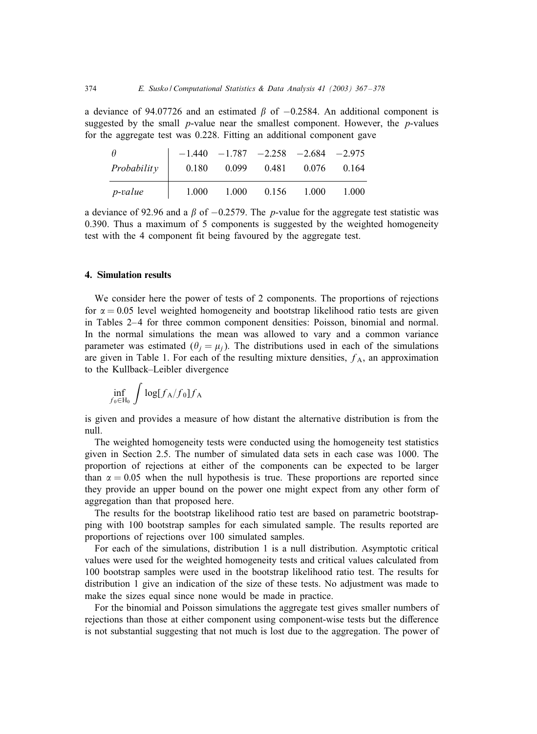a deviance of 94.07726 and an estimated  $\beta$  of −0.2584. An additional component is suggested by the small  $p$ -value near the smallest component. However, the  $p$ -values for the aggregate test was 0.228. Fitting an additional component gave

| $\theta$        |       |       | $-1.440$ $-1.787$ $-2.258$ $-2.684$ $-2.975$ |       |       |
|-----------------|-------|-------|----------------------------------------------|-------|-------|
| Probability     | 0.180 | 0.099 | 0.481                                        | 0.076 | 0.164 |
| <i>p</i> -value | 1.000 | 1.000 | 0.156                                        | 1.000 | 1.000 |

a deviance of 92.96 and a  $\beta$  of −0.2579. The *p*-value for the aggregate test statistic was 0.390. Thus a maximum of 5 components is suggested by the weighted homogeneity test with the 4 component fit being favoured by the aggregate test.

#### 4. Simulation results

We consider here the power of tests of 2 components. The proportions of rejections for  $\alpha = 0.05$  level weighted homogeneity and bootstrap likelihood ratio tests are given in Tables 2–4 for three common component densities: Poisson, binomial and normal. In the normal simulations the mean was allowed to vary and a common variance parameter was estimated  $(\theta_j = \mu_j)$ . The distributions used in each of the simulations are given in Table 1. For each of the resulting mixture densities,  $f_A$ , an approximation to the Kullback–Leibler divergence

$$
\inf_{f_0\in\mathrm{H}_0}\,\int\log[f_\mathrm{A}/f_0]f_\mathrm{A}
$$

is given and provides a measure of how distant the alternative distribution is from the null.

The weighted homogeneity tests were conducted using the homogeneity test statistics given in Section 2.5. The number of simulated data sets in each case was 1000. The proportion of rejections at either of the components can be expected to be larger than  $\alpha = 0.05$  when the null hypothesis is true. These proportions are reported since they provide an upper bound on the power one might expect from any other form of aggregation than that proposed here.

The results for the bootstrap likelihood ratio test are based on parametric bootstrapping with 100 bootstrap samples for each simulated sample. The results reported are proportions of rejections over 100 simulated samples.

For each of the simulations, distribution 1 is a null distribution. Asymptotic critical values were used for the weighted homogeneity tests and critical values calculated from 100 bootstrap samples were used in the bootstrap likelihood ratio test. The results for distribution 1 give an indication of the size of these tests. No adjustment was made to make the sizes equal since none would be made in practice.

For the binomial and Poisson simulations the aggregate test gives smaller numbers of rejections than those at either component using component-wise tests but the difference is not substantial suggesting that not much is lost due to the aggregation. The power of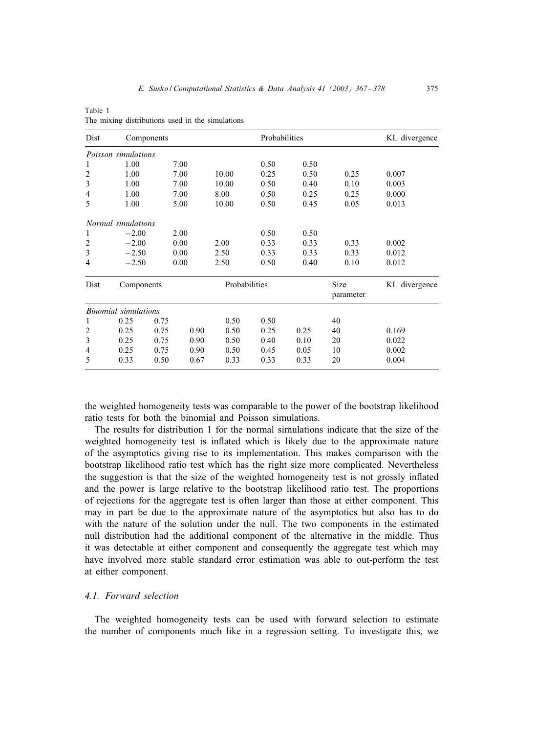| Dist           | Components           |      |      |               | Probabilities |      |                   | KL divergence |
|----------------|----------------------|------|------|---------------|---------------|------|-------------------|---------------|
|                | Poisson simulations  |      |      |               |               |      |                   |               |
| 1              | 1.00                 |      | 7.00 |               | 0.50          | 0.50 |                   |               |
| 2              | 1.00                 |      | 7.00 | 10.00         | 0.25          | 0.50 | 0.25              | 0.007         |
| 3              | 1.00                 |      | 7.00 | 10.00         | 0.50          | 0.40 | 0.10              | 0.003         |
| 4              | 1.00                 |      | 7.00 | 8.00          | 0.50          | 0.25 | 0.25              | 0.000         |
| 5              | 1.00                 |      | 5.00 | 10.00         | 0.50          | 0.45 | 0.05              | 0.013         |
|                | Normal simulations   |      |      |               |               |      |                   |               |
| 1              | $-2.00$              |      | 2.00 |               | 0.50          | 0.50 |                   |               |
| $\overline{2}$ | $-2.00$              |      | 0.00 | 2.00          | 0.33          | 0.33 | 0.33              | 0.002         |
| 3              | $-2.50$              |      | 0.00 | 2.50          | 0.33          | 0.33 | 0.33              | 0.012         |
| 4              | $-2.50$              |      | 0.00 | 2.50          | 0.50          | 0.40 | 0.10              | 0.012         |
| Dist           | Components           |      |      | Probabilities |               |      | Size<br>parameter | KL divergence |
|                | Binomial simulations |      |      |               |               |      |                   |               |
| 1              | 0.25                 | 0.75 |      | 0.50          | 0.50          |      | 40                |               |
| 2              | 0.25                 | 0.75 | 0.90 | 0.50          | 0.25          | 0.25 | 40                | 0.169         |
| 3              | 0.25                 | 0.75 | 0.90 | 0.50          | 0.40          | 0.10 | 20                | 0.022         |
| 4              | 0.25                 | 0.75 | 0.90 | 0.50          | 0.45          | 0.05 | 10                | 0.002         |
| 5              | 0.33                 | 0.50 | 0.67 | 0.33          | 0.33          | 0.33 | 20                | 0.004         |

Table 1 The mixing distributions used in the simulations

the weighted homogeneity tests was comparable to the power of the bootstrap likelihood ratio tests for both the binomial and Poisson simulations.

The results for distribution 1 for the normal simulations indicate that the size of the weighted homogeneity test is inflated which is likely due to the approximate nature of the asymptotics giving rise to its implementation. This makes comparison with the bootstrap likelihood ratio test which has the right size more complicated. Nevertheless the suggestion is that the size of the weighted homogeneity test is not grossly inPated and the power is large relative to the bootstrap likelihood ratio test. The proportions of rejections for the aggregate test is often larger than those at either component. This may in part be due to the approximate nature of the asymptotics but also has to do with the nature of the solution under the null. The two components in the estimated null distribution had the additional component of the alternative in the middle. Thus it was detectable at either component and consequently the aggregate test which may have involved more stable standard error estimation was able to out-perform the test at either component.

# *4.1. Forward selection*

The weighted homogeneity tests can be used with forward selection to estimate the number of components much like in a regression setting. To investigate this, we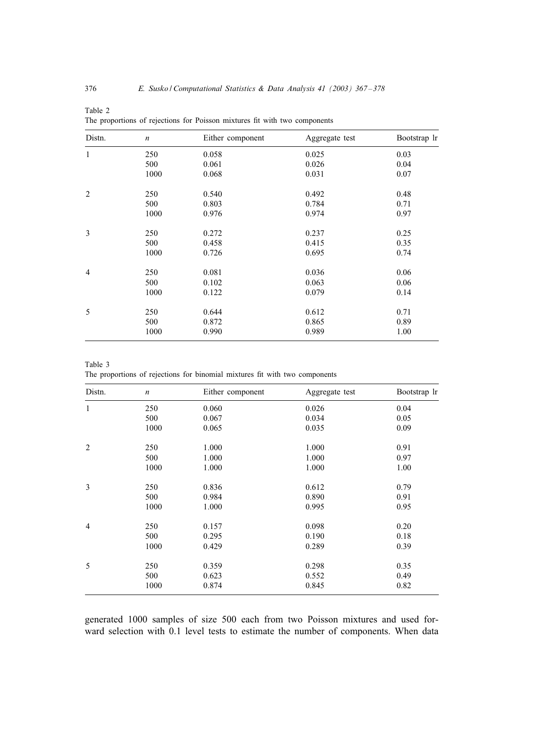| Distn.         | $\boldsymbol{n}$ | Either component | Aggregate test | Bootstrap lr |
|----------------|------------------|------------------|----------------|--------------|
| $\mathbf{1}$   | 250              | 0.058            | 0.025          | 0.03         |
|                | 500              | 0.061            | 0.026          | 0.04         |
|                | 1000             | 0.068            | 0.031          | 0.07         |
| $\overline{2}$ | 250              | 0.540            | 0.492          | 0.48         |
|                | 500              | 0.803            | 0.784          | 0.71         |
|                | 1000             | 0.976            | 0.974          | 0.97         |
| 3              | 250              | 0.272            | 0.237          | 0.25         |
|                | 500              | 0.458            | 0.415          | 0.35         |
|                | 1000             | 0.726            | 0.695          | 0.74         |
| $\overline{4}$ | 250              | 0.081            | 0.036          | 0.06         |
|                | 500              | 0.102            | 0.063          | 0.06         |
|                | 1000             | 0.122            | 0.079          | 0.14         |
| 5              | 250              | 0.644            | 0.612          | 0.71         |
|                | 500              | 0.872            | 0.865          | 0.89         |
|                | 1000             | 0.990            | 0.989          | 1.00         |

Table 2 The proportions of rejections for Poisson mixtures fit with two components

Table 3 The proportions of rejections for binomial mixtures fit with two components

| Distn.         | $\boldsymbol{n}$ | Either component | Aggregate test | Bootstrap lr |
|----------------|------------------|------------------|----------------|--------------|
| $\mathbf{1}$   | 250              | 0.060            | 0.026          | 0.04         |
|                | 500              | 0.067            | 0.034          | 0.05         |
|                | 1000             | 0.065            | 0.035          | 0.09         |
| $\overline{2}$ | 250              | 1.000            | 1.000          | 0.91         |
|                | 500              | 1.000            | 1.000          | 0.97         |
|                | 1000             | 1.000            | 1.000          | 1.00         |
| 3              | 250              | 0.836            | 0.612          | 0.79         |
|                | 500              | 0.984            | 0.890          | 0.91         |
|                | 1000             | 1.000            | 0.995          | 0.95         |
| $\overline{4}$ | 250              | 0.157            | 0.098          | 0.20         |
|                | 500              | 0.295            | 0.190          | 0.18         |
|                | 1000             | 0.429            | 0.289          | 0.39         |
| 5              | 250              | 0.359            | 0.298          | 0.35         |
|                | 500              | 0.623            | 0.552          | 0.49         |
|                | 1000             | 0.874            | 0.845          | 0.82         |

generated 1000 samples of size 500 each from two Poisson mixtures and used forward selection with 0.1 level tests to estimate the number of components. When data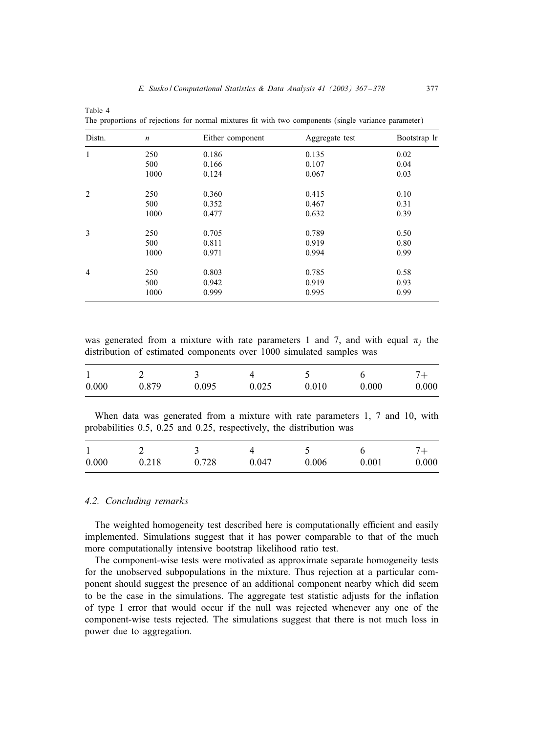| Distn.         | $\boldsymbol{n}$ | Either component | Aggregate test | Bootstrap lr |
|----------------|------------------|------------------|----------------|--------------|
| 1              | 250              | 0.186            | 0.135          | 0.02         |
|                | 500              | 0.166            | 0.107          | 0.04         |
|                | 1000             | 0.124            | 0.067          | 0.03         |
| 2              | 250              | 0.360            | 0.415          | 0.10         |
|                | 500              | 0.352            | 0.467          | 0.31         |
|                | 1000             | 0.477            | 0.632          | 0.39         |
| 3              | 250              | 0.705            | 0.789          | 0.50         |
|                | 500              | 0.811            | 0.919          | 0.80         |
|                | 1000             | 0.971            | 0.994          | 0.99         |
| $\overline{4}$ | 250              | 0.803            | 0.785          | 0.58         |
|                | 500              | 0.942            | 0.919          | 0.93         |
|                | 1000             | 0.999            | 0.995          | 0.99         |

The proportions of rejections for normal mixtures fit with two components (single variance parameter)

was generated from a mixture with rate parameters 1 and 7, and with equal  $\pi_i$  the distribution of estimated components over 1000 simulated samples was

| 0.000 | 0.879 | 0.095 | 0.025 | 0.010 | 0.000 | 0.000 |
|-------|-------|-------|-------|-------|-------|-------|

When data was generated from a mixture with rate parameters 1, 7 and 10, with probabilities 0.5, 0.25 and 0.25, respectively, the distribution was

| 0.000 | 0.218 | 0.728 | 0.047 | 0.006 | 0.001 | 0.000 |
|-------|-------|-------|-------|-------|-------|-------|

#### *4.2. Concluding remarks*

Table 4

The weighted homogeneity test described here is computationally efficient and easily implemented. Simulations suggest that it has power comparable to that of the much more computationally intensive bootstrap likelihood ratio test.

The component-wise tests were motivated as approximate separate homogeneity tests for the unobserved subpopulations in the mixture. Thus rejection at a particular component should suggest the presence of an additional component nearby which did seem to be the case in the simulations. The aggregate test statistic adjusts for the inPation of type I error that would occur if the null was rejected whenever any one of the component-wise tests rejected. The simulations suggest that there is not much loss in power due to aggregation.